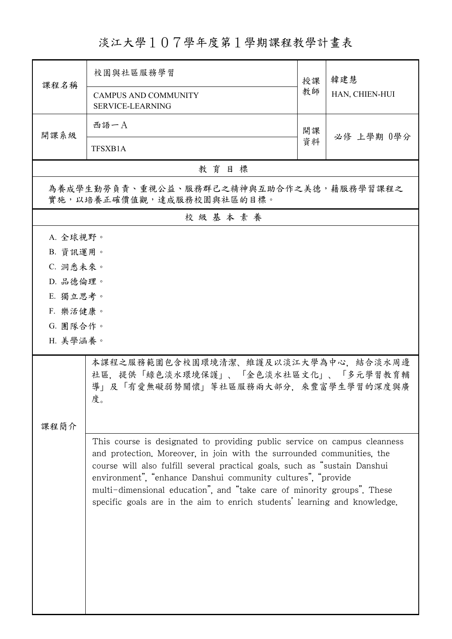## 淡江大學107學年度第1學期課程教學計畫表

| 課程名稱                                                                                                                                                                                                                    | 校園與社區服務學習                                                                                                                                                                                                                                                                                                                                                                                                                                                 |          | 韓建慧            |  |  |
|-------------------------------------------------------------------------------------------------------------------------------------------------------------------------------------------------------------------------|-----------------------------------------------------------------------------------------------------------------------------------------------------------------------------------------------------------------------------------------------------------------------------------------------------------------------------------------------------------------------------------------------------------------------------------------------------------|----------|----------------|--|--|
|                                                                                                                                                                                                                         | <b>CAMPUS AND COMMUNITY</b><br><b>SERVICE-LEARNING</b>                                                                                                                                                                                                                                                                                                                                                                                                    | 授課<br>教師 | HAN, CHIEN-HUI |  |  |
| 開課系級                                                                                                                                                                                                                    | 西語一A                                                                                                                                                                                                                                                                                                                                                                                                                                                      | 開課       | 必修 上學期 0學分     |  |  |
|                                                                                                                                                                                                                         | TFSXB1A                                                                                                                                                                                                                                                                                                                                                                                                                                                   | 資料       |                |  |  |
| 教育目標                                                                                                                                                                                                                    |                                                                                                                                                                                                                                                                                                                                                                                                                                                           |          |                |  |  |
| 為養成學生勤勞負責、重視公益、服務群己之精神與互助合作之美德,藉服務學習課程之<br>實施,以培養正確價值觀,達成服務校園與社區的目標。                                                                                                                                                    |                                                                                                                                                                                                                                                                                                                                                                                                                                                           |          |                |  |  |
|                                                                                                                                                                                                                         | 校級基本素養                                                                                                                                                                                                                                                                                                                                                                                                                                                    |          |                |  |  |
| A. 全球視野。<br>B. 資訊運用。<br>C. 洞悉未來。<br>D. 品德倫理。<br>E. 獨立思考。<br>F. 樂活健康。<br>G. 團隊合作。<br>H. 美學涵養。<br>本課程之服務範圍包含校園環境清潔、維護及以淡江大學為中心,結合淡水周邊<br>社區,提供「綠色淡水環境保護」、「金色淡水社區文化」、「多元學習教育輔<br>導」及「有愛無礙弱勢關懷」等社區服務兩大部分,來豐富學生學習的深度與廣<br>度。 |                                                                                                                                                                                                                                                                                                                                                                                                                                                           |          |                |  |  |
| 課程簡介                                                                                                                                                                                                                    | This course is designated to providing public service on campus cleanness<br>and protection. Moreover, in join with the surrounded communities, the<br>course will also fulfill several practical goals, such as "sustain Danshui<br>environment", "enhance Danshui community cultures", "provide<br>multi-dimensional education", and "take care of minority groups". These<br>specific goals are in the aim to enrich students' learning and knowledge. |          |                |  |  |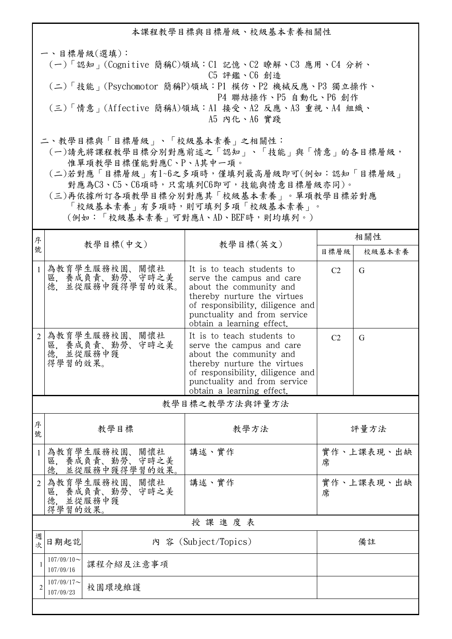本課程教學目標與目標層級、校級基本素養相關性 一、目標層級(選填): (一)「認知」(Cognitive 簡稱C)領域:C1 記憶、C2 瞭解、C3 應用、C4 分析、 C5 評鑑、C6 創造 (二)「技能」(Psychomotor 簡稱P)領域:P1 模仿、P2 機械反應、P3 獨立操作、 P4 聯結操作、P5 自動化、P6 創作 (三)「情意」(Affective 簡稱A)領域:A1 接受、A2 反應、A3 重視、A4 組織、 A5 內化、A6 實踐 二、教學目標與「目標層級」、「校級基本素養」之相關性:

 (一)請先將課程教學目標分別對應前述之「認知」、「技能」與「情意」的各目標層級, 惟單項教學目標僅能對應C、P、A其中一項。

 (二)若對應「目標層級」有1~6之多項時,僅填列最高層級即可(例如:認知「目標層級」 對應為C3、C5、C6項時,只需填列C6即可,技能與情意目標層級亦同)。

 (三)再依據所訂各項教學目標分別對應其「校級基本素養」。單項教學目標若對應 「校級基本素養」有多項時,則可填列多項「校級基本素養」。 (例如:「校級基本素養」可對應A、AD、BEF時,則均填列。)

| 序              |                                                         |                                                                                      |                                                                                                                                                                                                                    | 相關性            |            |  |  |
|----------------|---------------------------------------------------------|--------------------------------------------------------------------------------------|--------------------------------------------------------------------------------------------------------------------------------------------------------------------------------------------------------------------|----------------|------------|--|--|
| 號              |                                                         | 教學目標(中文)                                                                             | 教學目標(英文)                                                                                                                                                                                                           | 目標層級           | 校級基本素養     |  |  |
| $\mathbf{1}$   | 德.                                                      | 為教育學生服務校園、關懷社<br>區, 養成負責、勤勞、守時之美<br>並從服務中獲得學習的效果。                                    | It is to teach students to<br>serve the campus and care<br>about the community and<br>thereby nurture the virtues<br>of responsibility, diligence and<br>punctuality and from service<br>obtain a learning effect. | C <sub>2</sub> | G          |  |  |
| 2              | 得學習的效果。                                                 | 為教育學生服務校園、關懷社<br>·區, 養成負責、勤勞、守時之美<br>德, 並從服務中獲                                       | It is to teach students to<br>serve the campus and care<br>about the community and<br>thereby nurture the virtues<br>of responsibility, diligence and<br>punctuality and from service<br>obtain a learning effect. | C <sub>2</sub> | G          |  |  |
| 教學目標之教學方法與評量方法 |                                                         |                                                                                      |                                                                                                                                                                                                                    |                |            |  |  |
| 序<br>號         | 教學目標                                                    |                                                                                      | 教學方法                                                                                                                                                                                                               | 評量方法           |            |  |  |
| $\mathbf{1}$   | 為教育學生服務校園、關懷社<br>區, 養成負責、勤勞、守時之美<br>並從服務中獲得學習的效果。<br>德. |                                                                                      | 講述、實作                                                                                                                                                                                                              | 席              | 實作、上課表現、出缺 |  |  |
| $\overline{2}$ |                                                         | 為教育學生服務校園、關懷社<br>講述、實作<br>實作、上課表現、出缺<br>區, 養成負責、勤勞、守時之美<br>席<br>德. 並從服務中獲<br>得學習的效果。 |                                                                                                                                                                                                                    |                |            |  |  |
|                | 授課進度表                                                   |                                                                                      |                                                                                                                                                                                                                    |                |            |  |  |
| 週<br>次         | 日期起訖                                                    |                                                                                      | 内 容 (Subject/Topics)                                                                                                                                                                                               |                | 備註         |  |  |
|                | $107/09/10$ ~<br>107/09/16                              | 課程介紹及注意事項                                                                            |                                                                                                                                                                                                                    |                |            |  |  |
| $\mathfrak{D}$ | $107/09/17$ ~<br>107/09/23                              | 校園環境維護                                                                               |                                                                                                                                                                                                                    |                |            |  |  |
|                |                                                         |                                                                                      |                                                                                                                                                                                                                    |                |            |  |  |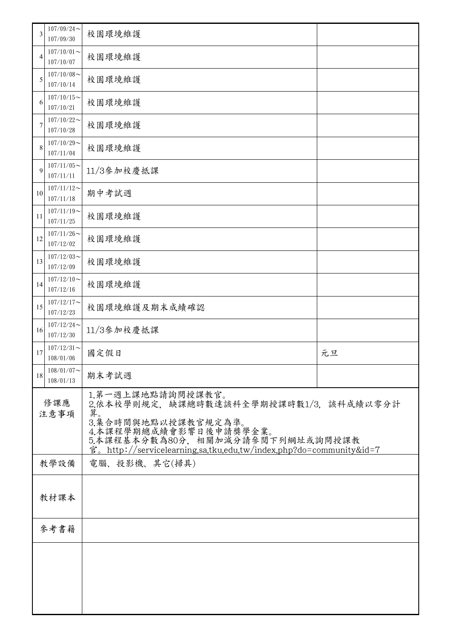| 3           | $107/09/24$ ~<br>107/09/30 | 校園環境維護                                                                                                                                                                                                                       |    |  |
|-------------|----------------------------|------------------------------------------------------------------------------------------------------------------------------------------------------------------------------------------------------------------------------|----|--|
| 4           | $107/10/01$ ~<br>107/10/07 | 校園環境維護                                                                                                                                                                                                                       |    |  |
| 5           | $107/10/08$ ~<br>107/10/14 | 校園環境維護                                                                                                                                                                                                                       |    |  |
| 6           | $107/10/15$ ~<br>107/10/21 | 校園環境維護                                                                                                                                                                                                                       |    |  |
| 7           | $107/10/22$ ~<br>107/10/28 | 校園環境維護                                                                                                                                                                                                                       |    |  |
| 8           | $107/10/29$ ~<br>107/11/04 | 校園環境維護                                                                                                                                                                                                                       |    |  |
| 9           | $107/11/05$ ~<br>107/11/11 | 11/3參加校慶抵課                                                                                                                                                                                                                   |    |  |
| 10          | $107/11/12$ ~<br>107/11/18 | 期中考試週                                                                                                                                                                                                                        |    |  |
| 11          | $107/11/19$ ~<br>107/11/25 | 校園環境維護                                                                                                                                                                                                                       |    |  |
| 12          | $107/11/26$ ~<br>107/12/02 | 校園環境維護                                                                                                                                                                                                                       |    |  |
| 13          | $107/12/03$ ~<br>107/12/09 | 校園環境維護                                                                                                                                                                                                                       |    |  |
| 14          | $107/12/10$ ~<br>107/12/16 | 校園環境維護                                                                                                                                                                                                                       |    |  |
| 15          | $107/12/17$ ~<br>107/12/23 | 校園環境維護及期末成績確認                                                                                                                                                                                                                |    |  |
| 16          | $107/12/24$ ~<br>107/12/30 | 11/3參加校慶抵課                                                                                                                                                                                                                   |    |  |
| 17          | $107/12/31$ ~<br>108/01/06 | 國定假日                                                                                                                                                                                                                         | 元旦 |  |
| 18          | $108/01/07$ ~<br>108/01/13 | 期末考試週                                                                                                                                                                                                                        |    |  |
| 修課應<br>注意事項 |                            | 1.第一週上課地點請詢問授課教官。<br>2.依本校學則規定,缺課總時數達該科全學期授課時數1/3. 該科成績以零分計<br>算。<br>3.集合時間與地點以授課教官規定為準。<br>4.本課程學期總成績會影響日後申請獎學金業。<br>5.本課程基本分數為80分,相關加減分請參閱下列網址或詢問授課教<br>官。http://servicelearning.sa.tku.edu.tw/index.php?do=community&id=7 |    |  |
|             | 電腦、投影機、其它(掃具)<br>教學設備      |                                                                                                                                                                                                                              |    |  |
|             | 教材課本                       |                                                                                                                                                                                                                              |    |  |
| 參考書籍        |                            |                                                                                                                                                                                                                              |    |  |
|             |                            |                                                                                                                                                                                                                              |    |  |